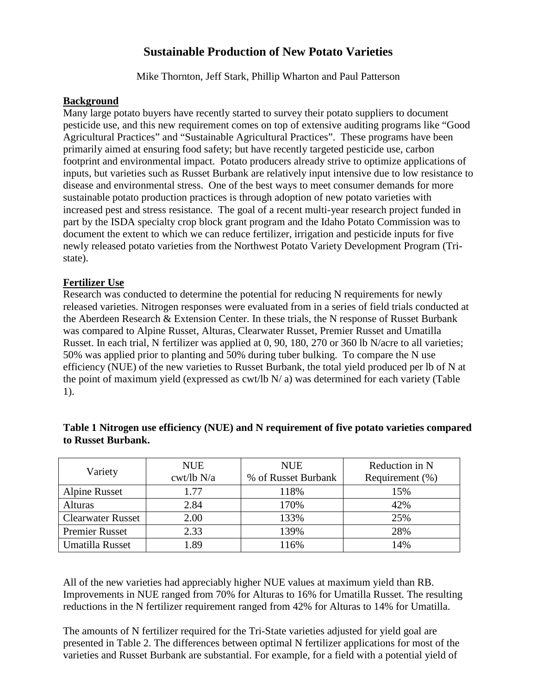# **Sustainable Production of New Potato Varieties**

Mike Thornton, Jeff Stark, Phillip Wharton and Paul Patterson

#### **Background**

Many large potato buyers have recently started to survey their potato suppliers to document pesticide use, and this new requirement comes on top of extensive auditing programs like "Good Agricultural Practices" and "Sustainable Agricultural Practices". These programs have been primarily aimed at ensuring food safety; but have recently targeted pesticide use, carbon footprint and environmental impact. Potato producers already strive to optimize applications of inputs, but varieties such as Russet Burbank are relatively input intensive due to low resistance to disease and environmental stress. One of the best ways to meet consumer demands for more sustainable potato production practices is through adoption of new potato varieties with increased pest and stress resistance. The goal of a recent multi-year research project funded in part by the ISDA specialty crop block grant program and the Idaho Potato Commission was to document the extent to which we can reduce fertilizer, irrigation and pesticide inputs for five newly released potato varieties from the Northwest Potato Variety Development Program (Tristate).

#### **Fertilizer Use**

Research was conducted to determine the potential for reducing N requirements for newly released varieties. Nitrogen responses were evaluated from in a series of field trials conducted at the Aberdeen Research & Extension Center. In these trials, the N response of Russet Burbank was compared to Alpine Russet, Alturas, Clearwater Russet, Premier Russet and Umatilla Russet. In each trial, N fertilizer was applied at 0, 90, 180, 270 or 360 lb N/acre to all varieties; 50% was applied prior to planting and 50% during tuber bulking. To compare the N use efficiency (NUE) of the new varieties to Russet Burbank, the total yield produced per lb of N at the point of maximum yield (expressed as  $\text{cwt/lb} \ N/ \text{a}$ ) was determined for each variety (Table 1).

| Variety                  | <b>NUE</b>           | <b>NUE</b>          | Reduction in N  |
|--------------------------|----------------------|---------------------|-----------------|
|                          | $\text{cwt}$ /lb N/a | % of Russet Burbank | Requirement (%) |
| <b>Alpine Russet</b>     | 1.77                 | 118%                | 15%             |
| Alturas                  | 2.84                 | 170%                | 42%             |
| <b>Clearwater Russet</b> | 2.00                 | 133%                | 25%             |
| <b>Premier Russet</b>    | 2.33                 | 139%                | 28%             |
| Umatilla Russet          | .89                  | 116%                | 14%             |

### **Table 1 Nitrogen use efficiency (NUE) and N requirement of five potato varieties compared to Russet Burbank.**

All of the new varieties had appreciably higher NUE values at maximum yield than RB. Improvements in NUE ranged from 70% for Alturas to 16% for Umatilla Russet. The resulting reductions in the N fertilizer requirement ranged from 42% for Alturas to 14% for Umatilla.

The amounts of N fertilizer required for the Tri-State varieties adjusted for yield goal are presented in Table 2. The differences between optimal N fertilizer applications for most of the varieties and Russet Burbank are substantial. For example, for a field with a potential yield of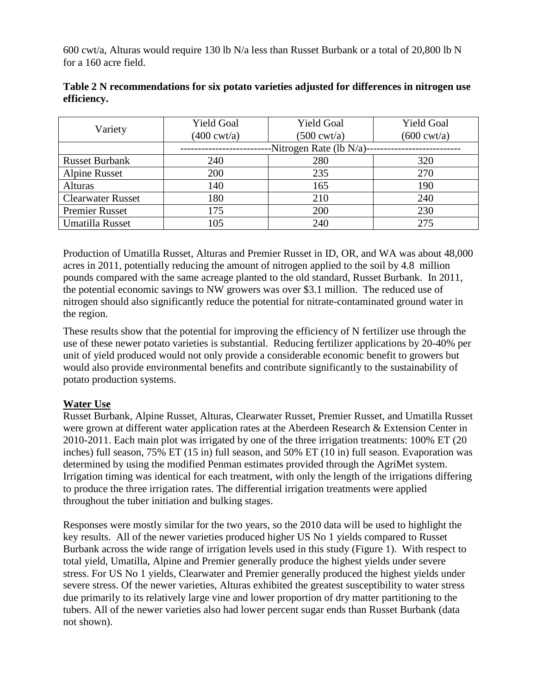600 cwt/a, Alturas would require 130 lb N/a less than Russet Burbank or a total of 20,800 lb N for a 160 acre field.

| Variety                  | <b>Yield Goal</b>           | <b>Yield Goal</b>     | <b>Yield Goal</b>     |
|--------------------------|-----------------------------|-----------------------|-----------------------|
|                          | $(400 \text{ cwt/a})$       | $(500 \text{ cwt/a})$ | $(600 \text{ cwt/a})$ |
|                          | -Nitrogen Rate (lb $N/a$ )- |                       |                       |
| <b>Russet Burbank</b>    | 240                         | 280                   | 320                   |
| <b>Alpine Russet</b>     | 200                         | 235                   | 270                   |
| <b>Alturas</b>           | 140                         | 165                   | 190                   |
| <b>Clearwater Russet</b> | 180                         | 210                   | 240                   |
| <b>Premier Russet</b>    | 175                         | 200                   | 230                   |
| Umatilla Russet          | 105                         | 240                   | 275                   |

**Table 2 N recommendations for six potato varieties adjusted for differences in nitrogen use efficiency.**

Production of Umatilla Russet, Alturas and Premier Russet in ID, OR, and WA was about 48,000 acres in 2011, potentially reducing the amount of nitrogen applied to the soil by 4.8 million pounds compared with the same acreage planted to the old standard, Russet Burbank. In 2011, the potential economic savings to NW growers was over \$3.1 million. The reduced use of nitrogen should also significantly reduce the potential for nitrate-contaminated ground water in the region.

These results show that the potential for improving the efficiency of N fertilizer use through the use of these newer potato varieties is substantial. Reducing fertilizer applications by 20-40% per unit of yield produced would not only provide a considerable economic benefit to growers but would also provide environmental benefits and contribute significantly to the sustainability of potato production systems.

### **Water Use**

Russet Burbank, Alpine Russet, Alturas, Clearwater Russet, Premier Russet, and Umatilla Russet were grown at different water application rates at the Aberdeen Research & Extension Center in 2010-2011. Each main plot was irrigated by one of the three irrigation treatments: 100% ET (20 inches) full season, 75% ET (15 in) full season, and 50% ET (10 in) full season. Evaporation was determined by using the modified Penman estimates provided through the AgriMet system. Irrigation timing was identical for each treatment, with only the length of the irrigations differing to produce the three irrigation rates. The differential irrigation treatments were applied throughout the tuber initiation and bulking stages.

Responses were mostly similar for the two years, so the 2010 data will be used to highlight the key results. All of the newer varieties produced higher US No 1 yields compared to Russet Burbank across the wide range of irrigation levels used in this study (Figure 1). With respect to total yield, Umatilla, Alpine and Premier generally produce the highest yields under severe stress. For US No 1 yields, Clearwater and Premier generally produced the highest yields under severe stress. Of the newer varieties, Alturas exhibited the greatest susceptibility to water stress due primarily to its relatively large vine and lower proportion of dry matter partitioning to the tubers. All of the newer varieties also had lower percent sugar ends than Russet Burbank (data not shown).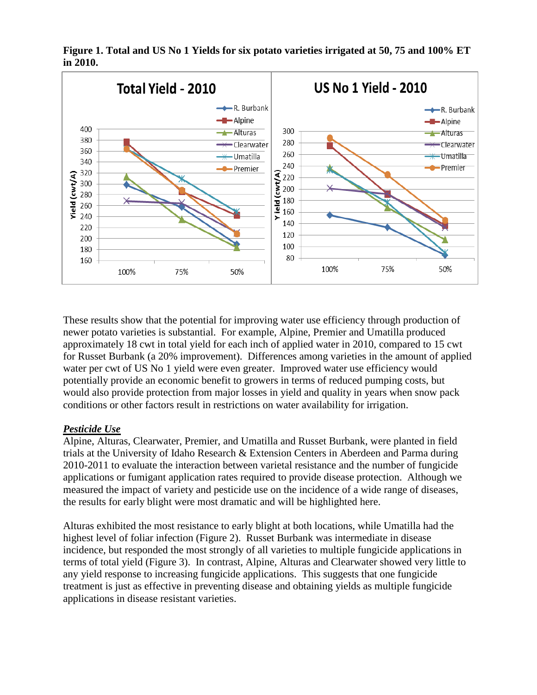

**Figure 1. Total and US No 1 Yields for six potato varieties irrigated at 50, 75 and 100% ET in 2010.**

These results show that the potential for improving water use efficiency through production of newer potato varieties is substantial. For example, Alpine, Premier and Umatilla produced approximately 18 cwt in total yield for each inch of applied water in 2010, compared to 15 cwt for Russet Burbank (a 20% improvement). Differences among varieties in the amount of applied water per cwt of US No 1 yield were even greater. Improved water use efficiency would potentially provide an economic benefit to growers in terms of reduced pumping costs, but would also provide protection from major losses in yield and quality in years when snow pack conditions or other factors result in restrictions on water availability for irrigation.

## *Pesticide Use*

Alpine, Alturas, Clearwater, Premier, and Umatilla and Russet Burbank, were planted in field trials at the University of Idaho Research & Extension Centers in Aberdeen and Parma during 2010-2011 to evaluate the interaction between varietal resistance and the number of fungicide applications or fumigant application rates required to provide disease protection. Although we measured the impact of variety and pesticide use on the incidence of a wide range of diseases, the results for early blight were most dramatic and will be highlighted here.

Alturas exhibited the most resistance to early blight at both locations, while Umatilla had the highest level of foliar infection (Figure 2). Russet Burbank was intermediate in disease incidence, but responded the most strongly of all varieties to multiple fungicide applications in terms of total yield (Figure 3). In contrast, Alpine, Alturas and Clearwater showed very little to any yield response to increasing fungicide applications. This suggests that one fungicide treatment is just as effective in preventing disease and obtaining yields as multiple fungicide applications in disease resistant varieties.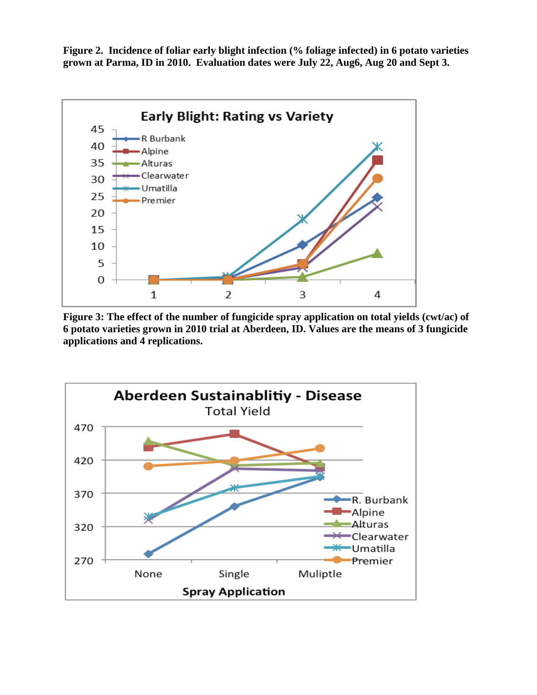**Figure 2. Incidence of foliar early blight infection (% foliage infected) in 6 potato varieties grown at Parma, ID in 2010. Evaluation dates were July 22, Aug6, Aug 20 and Sept 3.**



**Figure 3: The effect of the number of fungicide spray application on total yields (cwt/ac) of 6 potato varieties grown in 2010 trial at Aberdeen, ID. Values are the means of 3 fungicide applications and 4 replications.**